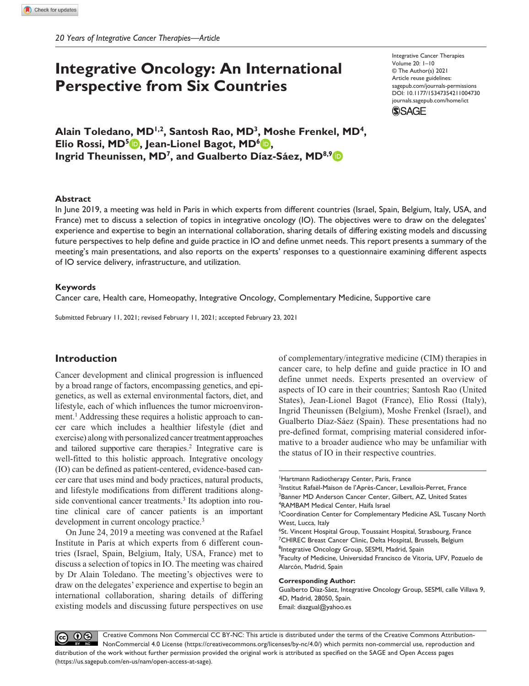# **Integrative Oncology: An International Perspective from Six Countries**

Integrative Cancer Therapies Volume 20: 1–10 © The Author(s) 2021 Article reuse guidelines: [sagepub.com/journals-permissions](https://us.sagepub.com/en-us/journals-permissions)  https://doi.org/10.1177/15347354211004730 DOI: 10.1177/15347354211004730 [journals.sagepub.com/home/ict](https://journals.sagepub.com/home/ict) **SAGE** 

**Alain Toledano, MD1,2, Santosh Rao, MD3, Moshe Frenkel, MD4, Elio Rossi, MD<sup>5</sup> <b>D**, Jean-Lionel Bagot, MD<sup>6</sup> **D**, **Ingrid Theunissen, MD7, and Gualberto Díaz-Sáez, MD8,9**

#### **Abstract**

In June 2019, a meeting was held in Paris in which experts from different countries (Israel, Spain, Belgium, Italy, USA, and France) met to discuss a selection of topics in integrative oncology (IO). The objectives were to draw on the delegates' experience and expertise to begin an international collaboration, sharing details of differing existing models and discussing future perspectives to help define and guide practice in IO and define unmet needs. This report presents a summary of the meeting's main presentations, and also reports on the experts' responses to a questionnaire examining different aspects of IO service delivery, infrastructure, and utilization.

#### **Keywords**

Cancer care, Health care, Homeopathy, Integrative Oncology, Complementary Medicine, Supportive care

Submitted February 11, 2021; revised February 11, 2021; accepted February 23, 2021

# **Introduction**

Cancer development and clinical progression is influenced by a broad range of factors, encompassing genetics, and epigenetics, as well as external environmental factors, diet, and lifestyle, each of which influences the tumor microenvironment.<sup>1</sup> Addressing these requires a holistic approach to cancer care which includes a healthier lifestyle (diet and exercise) along with personalized cancer treatment approaches and tailored supportive care therapies.<sup>2</sup> Integrative care is well-fitted to this holistic approach. Integrative oncology (IO) can be defined as patient-centered, evidence-based cancer care that uses mind and body practices, natural products, and lifestyle modifications from different traditions alongside conventional cancer treatments.<sup>3</sup> Its adoption into routine clinical care of cancer patients is an important development in current oncology practice.<sup>3</sup>

On June 24, 2019 a meeting was convened at the Rafael Institute in Paris at which experts from 6 different countries (Israel, Spain, Belgium, Italy, USA, France) met to discuss a selection of topics in IO. The meeting was chaired by Dr Alain Toledano. The meeting's objectives were to draw on the delegates' experience and expertise to begin an international collaboration, sharing details of differing existing models and discussing future perspectives on use

of complementary/integrative medicine (CIM) therapies in cancer care, to help define and guide practice in IO and define unmet needs. Experts presented an overview of aspects of IO care in their countries; Santosh Rao (United States), Jean-Lionel Bagot (France), Elio Rossi (Italy), Ingrid Theunissen (Belgium), Moshe Frenkel (Israel), and Gualberto Díaz-Sáez (Spain). These presentations had no pre-defined format, comprising material considered informative to a broader audience who may be unfamiliar with the status of IO in their respective countries.

#### **Corresponding Author:**

Gualberto Díaz-Sáez, Integrative Oncology Group, SESMI, calle Villava 9, 4D, Madrid, 28050, Spain. Email: [diazgual@yahoo.es](mailto:diazgual@yahoo.es)

 $\circledcirc$   $\circledcirc$ Creative Commons Non Commercial CC BY-NC: This article is distributed under the terms of the Creative Commons Attribution-NonCommercial 4.0 License (https://creativecommons.org/licenses/by-nc/4.0/) which permits non-commercial use, reproduction and distribution of the work without further permission provided the original work is attributed as specified on the SAGE and Open Access pages (https://us.sagepub.com/en-us/nam/open-access-at-sage).

<sup>1</sup> Hartmann Radiotherapy Center, Paris, France

<sup>&</sup>lt;sup>2</sup>Institut Rafaël-Maison de l'Après-Cancer, Levallois-Perret, France <sup>3</sup>Banner MD Anderson Cancer Center, Gilbert, AZ, United States 4 RAMBAM Medical Center, Haifa Israel

<sup>&</sup>lt;sup>5</sup> Coordination Center for Complementary Medicine ASL Tuscany North West, Lucca, Italy

<sup>6</sup> St. Vincent Hospital Group, Toussaint Hospital, Strasbourg, France <sup>7</sup>CHIREC Breast Cancer Clinic, Delta Hospital, Brussels, Belgium <sup>8</sup>Integrative Oncology Group, SESMI, Madrid, Spain

<sup>9</sup> Faculty of Medicine, Universidad Francisco de Vitoria, UFV, Pozuelo de Alarcón, Madrid, Spain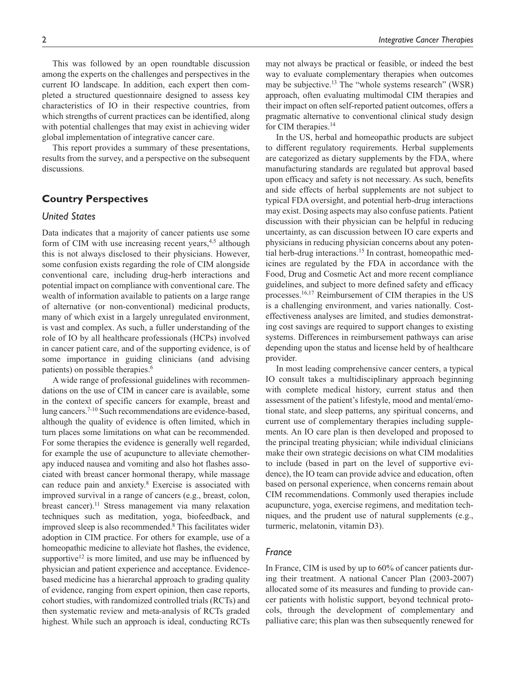This was followed by an open roundtable discussion among the experts on the challenges and perspectives in the current IO landscape. In addition, each expert then completed a structured questionnaire designed to assess key characteristics of IO in their respective countries, from which strengths of current practices can be identified, along with potential challenges that may exist in achieving wider global implementation of integrative cancer care.

This report provides a summary of these presentations, results from the survey, and a perspective on the subsequent discussions.

# **Country Perspectives**

## *United States*

Data indicates that a majority of cancer patients use some form of CIM with use increasing recent years, $4,5$  although this is not always disclosed to their physicians. However, some confusion exists regarding the role of CIM alongside conventional care, including drug-herb interactions and potential impact on compliance with conventional care. The wealth of information available to patients on a large range of alternative (or non-conventional) medicinal products, many of which exist in a largely unregulated environment, is vast and complex. As such, a fuller understanding of the role of IO by all healthcare professionals (HCPs) involved in cancer patient care, and of the supporting evidence, is of some importance in guiding clinicians (and advising patients) on possible therapies.<sup>6</sup>

A wide range of professional guidelines with recommendations on the use of CIM in cancer care is available, some in the context of specific cancers for example, breast and lung cancers.7-10 Such recommendations are evidence-based, although the quality of evidence is often limited, which in turn places some limitations on what can be recommended. For some therapies the evidence is generally well regarded, for example the use of acupuncture to alleviate chemotherapy induced nausea and vomiting and also hot flashes associated with breast cancer hormonal therapy, while massage can reduce pain and anxiety.<sup>8</sup> Exercise is associated with improved survival in a range of cancers (e.g., breast, colon, breast cancer).<sup>11</sup> Stress management via many relaxation techniques such as meditation, yoga, biofeedback, and improved sleep is also recommended.8 This facilitates wider adoption in CIM practice. For others for example, use of a homeopathic medicine to alleviate hot flashes, the evidence, supportive<sup>12</sup> is more limited, and use may be influenced by physician and patient experience and acceptance. Evidencebased medicine has a hierarchal approach to grading quality of evidence, ranging from expert opinion, then case reports, cohort studies, with randomized controlled trials (RCTs) and then systematic review and meta-analysis of RCTs graded highest. While such an approach is ideal, conducting RCTs

may not always be practical or feasible, or indeed the best way to evaluate complementary therapies when outcomes may be subjective.<sup>13</sup> The "whole systems research" (WSR) approach, often evaluating multimodal CIM therapies and their impact on often self-reported patient outcomes, offers a pragmatic alternative to conventional clinical study design for CIM therapies.<sup>14</sup>

In the US, herbal and homeopathic products are subject to different regulatory requirements. Herbal supplements are categorized as dietary supplements by the FDA, where manufacturing standards are regulated but approval based upon efficacy and safety is not necessary. As such, benefits and side effects of herbal supplements are not subject to typical FDA oversight, and potential herb-drug interactions may exist. Dosing aspects may also confuse patients. Patient discussion with their physician can be helpful in reducing uncertainty, as can discussion between IO care experts and physicians in reducing physician concerns about any potential herb-drug interactions.15 In contrast, homeopathic medicines are regulated by the FDA in accordance with the Food, Drug and Cosmetic Act and more recent compliance guidelines, and subject to more defined safety and efficacy processes.16,17 Reimbursement of CIM therapies in the US is a challenging environment, and varies nationally. Costeffectiveness analyses are limited, and studies demonstrating cost savings are required to support changes to existing systems. Differences in reimbursement pathways can arise depending upon the status and license held by of healthcare provider.

In most leading comprehensive cancer centers, a typical IO consult takes a multidisciplinary approach beginning with complete medical history, current status and then assessment of the patient's lifestyle, mood and mental/emotional state, and sleep patterns, any spiritual concerns, and current use of complementary therapies including supplements. An IO care plan is then developed and proposed to the principal treating physician; while individual clinicians make their own strategic decisions on what CIM modalities to include (based in part on the level of supportive evidence), the IO team can provide advice and education, often based on personal experience, when concerns remain about CIM recommendations. Commonly used therapies include acupuncture, yoga, exercise regimens, and meditation techniques, and the prudent use of natural supplements (e.g., turmeric, melatonin, vitamin D3).

## *France*

In France, CIM is used by up to 60% of cancer patients during their treatment. A national Cancer Plan (2003-2007) allocated some of its measures and funding to provide cancer patients with holistic support, beyond technical protocols, through the development of complementary and palliative care; this plan was then subsequently renewed for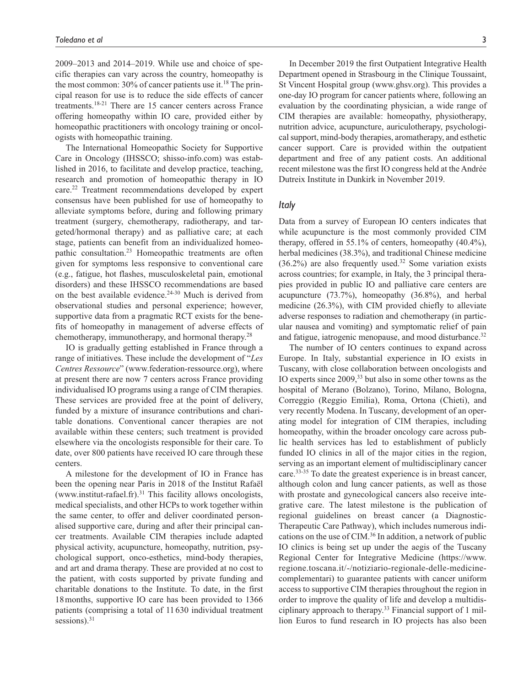2009–2013 and 2014–2019. While use and choice of specific therapies can vary across the country, homeopathy is the most common:  $30\%$  of cancer patients use it.<sup>18</sup> The principal reason for use is to reduce the side effects of cancer treatments.18-21 There are 15 cancer centers across France offering homeopathy within IO care, provided either by homeopathic practitioners with oncology training or oncologists with homeopathic training.

The International Homeopathic Society for Supportive Care in Oncology (IHSSCO; shisso-info.com) was established in 2016, to facilitate and develop practice, teaching, research and promotion of homeopathic therapy in IO care.22 Treatment recommendations developed by expert consensus have been published for use of homeopathy to alleviate symptoms before, during and following primary treatment (surgery, chemotherapy, radiotherapy, and targeted/hormonal therapy) and as palliative care; at each stage, patients can benefit from an individualized homeopathic consultation.<sup>23</sup> Homeopathic treatments are often given for symptoms less responsive to conventional care (e.g., fatigue, hot flashes, musculoskeletal pain, emotional disorders) and these IHSSCO recommendations are based on the best available evidence.<sup>24-30</sup> Much is derived from observational studies and personal experience; however, supportive data from a pragmatic RCT exists for the benefits of homeopathy in management of adverse effects of chemotherapy, immunotherapy, and hormonal therapy.28

IO is gradually getting established in France through a range of initiatives. These include the development of "*Les Centres Ressource*" ([www.federation-ressource.org\)](www.federation-ressource.org), where at present there are now 7 centers across France providing individualised IO programs using a range of CIM therapies. These services are provided free at the point of delivery, funded by a mixture of insurance contributions and charitable donations. Conventional cancer therapies are not available within these centers; such treatment is provided elsewhere via the oncologists responsible for their care. To date, over 800 patients have received IO care through these centers.

A milestone for the development of IO in France has been the opening near Paris in 2018 of the Institut Rafaël [\(www.institut-rafael.fr\)](www.institut-rafael.fr). $31$  This facility allows oncologists, medical specialists, and other HCPs to work together within the same center, to offer and deliver coordinated personalised supportive care, during and after their principal cancer treatments. Available CIM therapies include adapted physical activity, acupuncture, homeopathy, nutrition, psychological support, onco-esthetics, mind-body therapies, and art and drama therapy. These are provided at no cost to the patient, with costs supported by private funding and charitable donations to the Institute. To date, in the first 18months, supportive IO care has been provided to 1366 patients (comprising a total of 11630 individual treatment sessions).<sup>31</sup>

In December 2019 the first Outpatient Integrative Health Department opened in Strasbourg in the Clinique Toussaint, St Vincent Hospital group [\(www.ghsv.org\)](www.ghsv.org). This provides a one-day IO program for cancer patients where, following an evaluation by the coordinating physician, a wide range of CIM therapies are available: homeopathy, physiotherapy, nutrition advice, acupuncture, auriculotherapy, psychological support, mind-body therapies, aromatherapy, and esthetic cancer support. Care is provided within the outpatient department and free of any patient costs. An additional recent milestone was the first IO congress held at the Andrée Dutreix Institute in Dunkirk in November 2019.

## *Italy*

Data from a survey of European IO centers indicates that while acupuncture is the most commonly provided CIM therapy, offered in 55.1% of centers, homeopathy (40.4%), herbal medicines (38.3%), and traditional Chinese medicine  $(36.2%)$  are also frequently used.<sup>32</sup> Some variation exists across countries; for example, in Italy, the 3 principal therapies provided in public IO and palliative care centers are acupuncture (73.7%), homeopathy (36.8%), and herbal medicine (26.3%), with CIM provided chiefly to alleviate adverse responses to radiation and chemotherapy (in particular nausea and vomiting) and symptomatic relief of pain and fatigue, iatrogenic menopause, and mood disturbance.<sup>32</sup>

The number of IO centers continues to expand across Europe. In Italy, substantial experience in IO exists in Tuscany, with close collaboration between oncologists and IO experts since 2009,33 but also in some other towns as the hospital of Merano (Bolzano), Torino, Milano, Bologna, Correggio (Reggio Emilia), Roma, Ortona (Chieti), and very recently Modena. In Tuscany, development of an operating model for integration of CIM therapies, including homeopathy, within the broader oncology care across public health services has led to establishment of publicly funded IO clinics in all of the major cities in the region, serving as an important element of multidisciplinary cancer care.33-35 To date the greatest experience is in breast cancer, although colon and lung cancer patients, as well as those with prostate and gynecological cancers also receive integrative care. The latest milestone is the publication of regional guidelines on breast cancer (a Diagnostic-Therapeutic Care Pathway), which includes numerous indications on the use of CIM.36 In addition, a network of public IO clinics is being set up under the aegis of the Tuscany Regional Center for Integrative Medicine ([https://www.](https://www.regione.toscana.it/-/notiziario-regionale-delle-medicine-complementari) [regione.toscana.it/-/notiziario-regionale-delle-medicine](https://www.regione.toscana.it/-/notiziario-regionale-delle-medicine-complementari)[complementari\)](https://www.regione.toscana.it/-/notiziario-regionale-delle-medicine-complementari) to guarantee patients with cancer uniform access to supportive CIM therapies throughout the region in order to improve the quality of life and develop a multidisciplinary approach to therapy.33 Financial support of 1 million Euros to fund research in IO projects has also been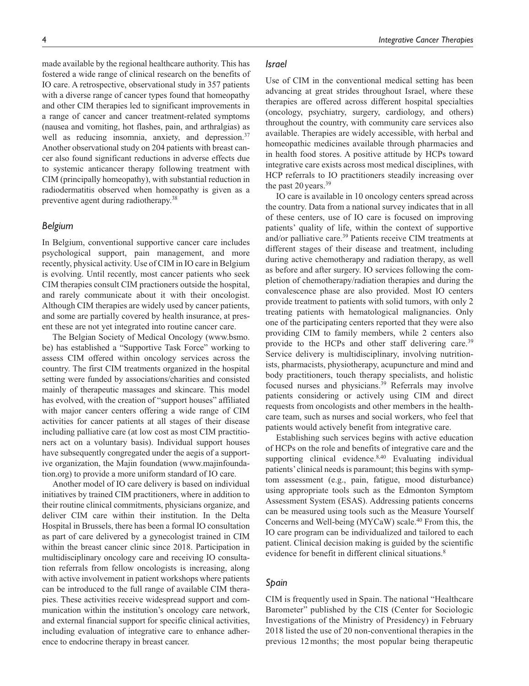made available by the regional healthcare authority. This has fostered a wide range of clinical research on the benefits of IO care. A retrospective, observational study in 357 patients with a diverse range of cancer types found that homeopathy and other CIM therapies led to significant improvements in a range of cancer and cancer treatment-related symptoms (nausea and vomiting, hot flashes, pain, and arthralgias) as well as reducing insomnia, anxiety, and depression.<sup>37</sup> Another observational study on 204 patients with breast cancer also found significant reductions in adverse effects due to systemic anticancer therapy following treatment with CIM (principally homeopathy), with substantial reduction in radiodermatitis observed when homeopathy is given as a preventive agent during radiotherapy.38

#### *Belgium*

In Belgium, conventional supportive cancer care includes psychological support, pain management, and more recently, physical activity. Use of CIM in IO care in Belgium is evolving. Until recently, most cancer patients who seek CIM therapies consult CIM practioners outside the hospital, and rarely communicate about it with their oncologist. Although CIM therapies are widely used by cancer patients, and some are partially covered by health insurance, at present these are not yet integrated into routine cancer care.

The Belgian Society of Medical Oncology ([www.bsmo.](www.bsmo.be) [be](www.bsmo.be)) has established a "Supportive Task Force" working to assess CIM offered within oncology services across the country. The first CIM treatments organized in the hospital setting were funded by associations/charities and consisted mainly of therapeutic massages and skincare. This model has evolved, with the creation of "support houses" affiliated with major cancer centers offering a wide range of CIM activities for cancer patients at all stages of their disease including palliative care (at low cost as most CIM practitioners act on a voluntary basis). Individual support houses have subsequently congregated under the aegis of a supportive organization, the Majin foundation [\(www.majinfounda](www.majinfoundation.org)[tion.org\)](www.majinfoundation.org) to provide a more uniform standard of IO care.

Another model of IO care delivery is based on individual initiatives by trained CIM practitioners, where in addition to their routine clinical commitments, physicians organize, and deliver CIM care within their institution. In the Delta Hospital in Brussels, there has been a formal IO consultation as part of care delivered by a gynecologist trained in CIM within the breast cancer clinic since 2018. Participation in multidisciplinary oncology care and receiving IO consultation referrals from fellow oncologists is increasing, along with active involvement in patient workshops where patients can be introduced to the full range of available CIM therapies. These activities receive widespread support and communication within the institution's oncology care network, and external financial support for specific clinical activities, including evaluation of integrative care to enhance adherence to endocrine therapy in breast cancer.

## *Israel*

Use of CIM in the conventional medical setting has been advancing at great strides throughout Israel, where these therapies are offered across different hospital specialties (oncology, psychiatry, surgery, cardiology, and others) throughout the country, with community care services also available. Therapies are widely accessible, with herbal and homeopathic medicines available through pharmacies and in health food stores. A positive attitude by HCPs toward integrative care exists across most medical disciplines, with HCP referrals to IO practitioners steadily increasing over the past  $20$  years.<sup>39</sup>

IO care is available in 10 oncology centers spread across the country. Data from a national survey indicates that in all of these centers, use of IO care is focused on improving patients' quality of life, within the context of supportive and/or palliative care.<sup>39</sup> Patients receive CIM treatments at different stages of their disease and treatment, including during active chemotherapy and radiation therapy, as well as before and after surgery. IO services following the completion of chemotherapy/radiation therapies and during the convalescence phase are also provided. Most IO centers provide treatment to patients with solid tumors, with only 2 treating patients with hematological malignancies. Only one of the participating centers reported that they were also providing CIM to family members, while 2 centers also provide to the HCPs and other staff delivering care.<sup>39</sup> Service delivery is multidisciplinary, involving nutritionists, pharmacists, physiotherapy, acupuncture and mind and body practitioners, touch therapy specialists, and holistic focused nurses and physicians.<sup>39</sup> Referrals may involve patients considering or actively using CIM and direct requests from oncologists and other members in the healthcare team, such as nurses and social workers, who feel that patients would actively benefit from integrative care.

Establishing such services begins with active education of HCPs on the role and benefits of integrative care and the supporting clinical evidence. $8,40$  Evaluating individual patients' clinical needs is paramount; this begins with symptom assessment (e.g., pain, fatigue, mood disturbance) using appropriate tools such as the Edmonton Symptom Assessment System (ESAS). Addressing patients concerns can be measured using tools such as the Measure Yourself Concerns and Well-being (MYCaW) scale. $40$  From this, the IO care program can be individualized and tailored to each patient. Clinical decision making is guided by the scientific evidence for benefit in different clinical situations.<sup>8</sup>

#### *Spain*

CIM is frequently used in Spain. The national "Healthcare Barometer" published by the CIS (Center for Sociologic Investigations of the Ministry of Presidency) in February 2018 listed the use of 20 non-conventional therapies in the previous 12months; the most popular being therapeutic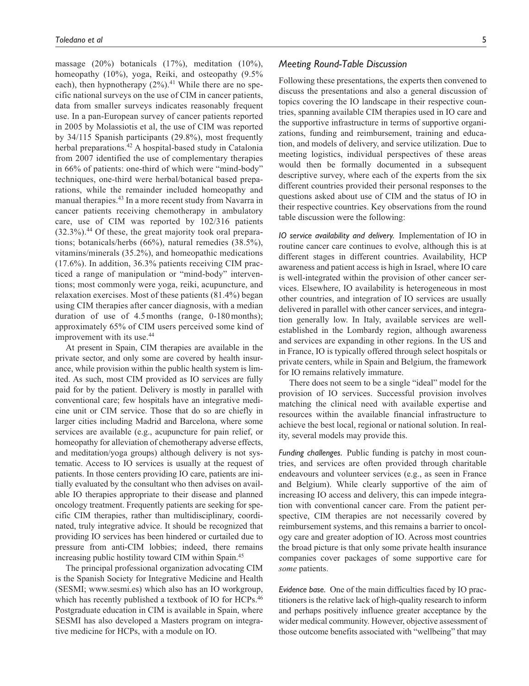massage (20%) botanicals (17%), meditation (10%), homeopathy (10%), yoga, Reiki, and osteopathy (9.5% each), then hypnotherapy  $(2\%)$ .<sup>41</sup> While there are no specific national surveys on the use of CIM in cancer patients, data from smaller surveys indicates reasonably frequent use. In a pan-European survey of cancer patients reported in 2005 by Molassiotis et al, the use of CIM was reported by 34/115 Spanish participants (29.8%), most frequently herbal preparations.<sup>42</sup> A hospital-based study in Catalonia from 2007 identified the use of complementary therapies in 66% of patients: one-third of which were "mind-body" techniques, one-third were herbal/botanical based preparations, while the remainder included homeopathy and manual therapies.43 In a more recent study from Navarra in cancer patients receiving chemotherapy in ambulatory care, use of CIM was reported by 102/316 patients (32.3%).44 Of these, the great majority took oral preparations; botanicals/herbs (66%), natural remedies (38.5%), vitamins/minerals (35.2%), and homeopathic medications (17.6%). In addition, 36.3% patients receiving CIM practiced a range of manipulation or "mind-body" interventions; most commonly were yoga, reiki, acupuncture, and relaxation exercises. Most of these patients (81.4%) began using CIM therapies after cancer diagnosis, with a median duration of use of 4.5months (range, 0-180months); approximately 65% of CIM users perceived some kind of improvement with its use.<sup>44</sup>

At present in Spain, CIM therapies are available in the private sector, and only some are covered by health insurance, while provision within the public health system is limited. As such, most CIM provided as IO services are fully paid for by the patient. Delivery is mostly in parallel with conventional care; few hospitals have an integrative medicine unit or CIM service. Those that do so are chiefly in larger cities including Madrid and Barcelona, where some services are available (e.g., acupuncture for pain relief, or homeopathy for alleviation of chemotherapy adverse effects, and meditation/yoga groups) although delivery is not systematic. Access to IO services is usually at the request of patients. In those centers providing IO care, patients are initially evaluated by the consultant who then advises on available IO therapies appropriate to their disease and planned oncology treatment. Frequently patients are seeking for specific CIM therapies, rather than multidisciplinary, coordinated, truly integrative advice. It should be recognized that providing IO services has been hindered or curtailed due to pressure from anti-CIM lobbies; indeed, there remains increasing public hostility toward CIM within Spain.45

The principal professional organization advocating CIM is the Spanish Society for Integrative Medicine and Health (SESMI; [www.sesmi.es\)](www.sesmi.es) which also has an IO workgroup, which has recently published a textbook of IO for HCPs.<sup>46</sup> Postgraduate education in CIM is available in Spain, where SESMI has also developed a Masters program on integrative medicine for HCPs, with a module on IO.

## *Meeting Round-Table Discussion*

Following these presentations, the experts then convened to discuss the presentations and also a general discussion of topics covering the IO landscape in their respective countries, spanning available CIM therapies used in IO care and the supportive infrastructure in terms of supportive organizations, funding and reimbursement, training and education, and models of delivery, and service utilization. Due to meeting logistics, individual perspectives of these areas would then be formally documented in a subsequent descriptive survey, where each of the experts from the six different countries provided their personal responses to the questions asked about use of CIM and the status of IO in their respective countries. Key observations from the round table discussion were the following:

*IO service availability and delivery.* Implementation of IO in routine cancer care continues to evolve, although this is at different stages in different countries. Availability, HCP awareness and patient access is high in Israel, where IO care is well-integrated within the provision of other cancer services. Elsewhere, IO availability is heterogeneous in most other countries, and integration of IO services are usually delivered in parallel with other cancer services, and integration generally low. In Italy, available services are wellestablished in the Lombardy region, although awareness and services are expanding in other regions. In the US and in France, IO is typically offered through select hospitals or private centers, while in Spain and Belgium, the framework for IO remains relatively immature.

There does not seem to be a single "ideal" model for the provision of IO services. Successful provision involves matching the clinical need with available expertise and resources within the available financial infrastructure to achieve the best local, regional or national solution. In reality, several models may provide this.

*Funding challenges.* Public funding is patchy in most countries, and services are often provided through charitable endeavours and volunteer services (e.g., as seen in France and Belgium). While clearly supportive of the aim of increasing IO access and delivery, this can impede integration with conventional cancer care. From the patient perspective, CIM therapies are not necessarily covered by reimbursement systems, and this remains a barrier to oncology care and greater adoption of IO. Across most countries the broad picture is that only some private health insurance companies cover packages of some supportive care for *some* patients.

*Evidence base.* One of the main difficulties faced by IO practitioners is the relative lack of high-quality research to inform and perhaps positively influence greater acceptance by the wider medical community. However, objective assessment of those outcome benefits associated with "wellbeing" that may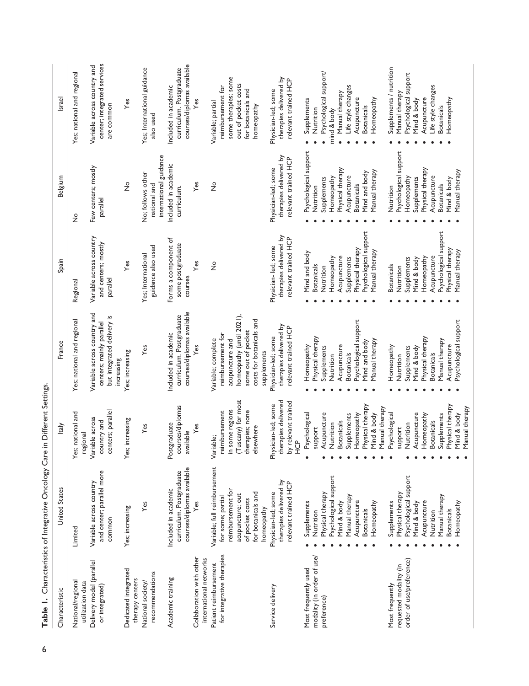| Characteristic                                                                                                                             | <b>United States</b>                                                                                                                                                                                                                                                                                   | Italy                                                                                                                                                                                                                                                                                     | France                                                                                                                                                                                                                                                                                        | Spain                                                                                                                                                                                                                                                                                                | Belgium                                                                                                                                                                                                                                                                                              | Israel                                                                                                                                                                                                                                                                                                                   |
|--------------------------------------------------------------------------------------------------------------------------------------------|--------------------------------------------------------------------------------------------------------------------------------------------------------------------------------------------------------------------------------------------------------------------------------------------------------|-------------------------------------------------------------------------------------------------------------------------------------------------------------------------------------------------------------------------------------------------------------------------------------------|-----------------------------------------------------------------------------------------------------------------------------------------------------------------------------------------------------------------------------------------------------------------------------------------------|------------------------------------------------------------------------------------------------------------------------------------------------------------------------------------------------------------------------------------------------------------------------------------------------------|------------------------------------------------------------------------------------------------------------------------------------------------------------------------------------------------------------------------------------------------------------------------------------------------------|--------------------------------------------------------------------------------------------------------------------------------------------------------------------------------------------------------------------------------------------------------------------------------------------------------------------------|
| National/regional<br>utilization data                                                                                                      | Limited                                                                                                                                                                                                                                                                                                | es; national and<br>regional                                                                                                                                                                                                                                                              | Yes; national and regional                                                                                                                                                                                                                                                                    | Regional                                                                                                                                                                                                                                                                                             | $\frac{1}{2}$                                                                                                                                                                                                                                                                                        | Yes; national and regional                                                                                                                                                                                                                                                                                               |
| Delivery model (parallel<br>or integrated)                                                                                                 | and center; parallel more<br>Variable across country<br>common                                                                                                                                                                                                                                         | centers; parallel<br>Variable across<br>country and                                                                                                                                                                                                                                       | Variable across country and<br>but integrated delivery is<br>centers; mainly parallel<br>increasing                                                                                                                                                                                           | Variable across country<br>and centers; mostly<br>parallel                                                                                                                                                                                                                                           | Few centers; mostly<br>parallel                                                                                                                                                                                                                                                                      | center; integrated services<br>Variable across country and<br>are common                                                                                                                                                                                                                                                 |
| Dedicated integrated<br>therapy centers                                                                                                    | Yes; increasing                                                                                                                                                                                                                                                                                        | es; increasing                                                                                                                                                                                                                                                                            | Yes; increasing                                                                                                                                                                                                                                                                               | Yes                                                                                                                                                                                                                                                                                                  | $\frac{1}{2}$                                                                                                                                                                                                                                                                                        | Yes                                                                                                                                                                                                                                                                                                                      |
| recommendations<br>National society/                                                                                                       | Yes                                                                                                                                                                                                                                                                                                    | Yes                                                                                                                                                                                                                                                                                       | Yes                                                                                                                                                                                                                                                                                           | guidance also used<br>Yes; International                                                                                                                                                                                                                                                             | international guidance<br>No; follows other<br>national and                                                                                                                                                                                                                                          | Yes; International guidance<br>also used                                                                                                                                                                                                                                                                                 |
| Academic training                                                                                                                          | courses/diplomas available<br>curriculum. Postgraduate<br>Included in academic                                                                                                                                                                                                                         | courses/diplomas<br>Postgraduate<br>available                                                                                                                                                                                                                                             | courses/diplomas available<br>curriculum. Postgraduate<br>Included in academic                                                                                                                                                                                                                | Forms a component of<br>some postgraduate<br>courses                                                                                                                                                                                                                                                 | Included in academic<br>curriculum.                                                                                                                                                                                                                                                                  | courses/diplomas available<br>curriculum. Postgraduate<br>Included in academic                                                                                                                                                                                                                                           |
| Collaboration with other<br>international networks                                                                                         | Yes                                                                                                                                                                                                                                                                                                    | $\mathsf{Yes}$                                                                                                                                                                                                                                                                            | Yes                                                                                                                                                                                                                                                                                           | Yes                                                                                                                                                                                                                                                                                                  | Yes                                                                                                                                                                                                                                                                                                  | Yes                                                                                                                                                                                                                                                                                                                      |
| for integrative therapies<br>Patient reimbursement                                                                                         | Variable; full reimbursement<br>reimbursement for<br>for botanicals and<br>acupuncture; out<br>for some; partial<br>of pocket costs<br>homeopathy                                                                                                                                                      | (Tuscany) for most<br>in some regions<br>therapies; none<br>reimbursement<br>elsewhere<br>Variable;                                                                                                                                                                                       | homeopathy (until 2021),<br>costs for botanicals and<br>some out of pocket<br>reimbursement for<br>Variable; complete<br>acupuncture and<br>supplements                                                                                                                                       | $\frac{1}{2}$                                                                                                                                                                                                                                                                                        | $\frac{1}{2}$                                                                                                                                                                                                                                                                                        | some therapies; some<br>out of pocket costs<br>reimbursement for<br>for botanicals and<br>Variable; partial<br>homeopathy                                                                                                                                                                                                |
| Service delivery                                                                                                                           | therapies delivered by<br>relevant trained HCP<br>Physician-led; some                                                                                                                                                                                                                                  | therapies delivered<br>by relevant trained<br>Physician-led; some<br>0HD                                                                                                                                                                                                                  | therapies delivered by<br>relevant trained HCP<br>Physician-led; some                                                                                                                                                                                                                         | therapies delivered by<br>relevant trained HCP<br>Physician-led; some                                                                                                                                                                                                                                | therapies delivered by<br>relevant trained HCP<br>Physician-led; some                                                                                                                                                                                                                                | therapies delivered by<br>relevant trained HCP<br>Physician-led; some                                                                                                                                                                                                                                                    |
| modality (in order of use/<br>order of use/preference)<br>requested modality (in<br>Most frequently used<br>Most frequently<br>preference) | Psychological support<br>Psychological support<br>Physical therapy<br>Physical therapy<br>Manual therapy<br>Manual therapy<br>Acupuncture<br>Acupuncture<br>Homeopathy<br>Supplements<br>Mind & body<br>Mind & body<br>Supplements<br><b>Botanicals</b><br><b>Botanicals</b><br>Nutrition<br>Nutrition | Physical therapy<br>Physical therapy<br>Manual therapy<br>Psychological<br>Psychological<br>Acupuncture<br>Homeopathy<br>Mind & body<br>Acupuncture<br>Homeopathy<br>Supplements<br>Supplements<br><b>Botanicals</b><br><b>Botanicals</b><br>Nutrition<br>Nutrition<br>support<br>support | Psychological support<br>Physical therapy<br>Physical therapy<br>Manual therapy<br>Manual therapy<br>Mind and body<br>Acupuncture<br>Homeopathy<br>Acupuncture<br>Homeopathy<br>Supplements<br>Supplements<br>Mind & body<br><b>Botanicals</b><br><b>Botanicals</b><br>Nutrition<br>Nutrition | Psychological support<br>Psychological support<br>Physical therapy<br>Physical therapy<br>Manual therapy<br>Mind and body<br>Acupuncture<br>Homeopathy<br>Homeopathy<br>Supplements<br>Acupuncture<br>Supplements<br>Mind & body<br><b>Botanicals</b><br><b>Botanicals</b><br>Nutrition<br>Nutrition | Psychological support<br>Psychological support<br>Physical therapy<br>Physical therapy<br>Manual therapy<br>Mind and body<br>Acupuncture<br>Acupuncture<br>Homeopathy<br>Homeopathy<br>Supplements<br>Supplements<br>Mind & body<br><b>Botanicals</b><br><b>Botanicals</b><br>Nutrition<br>Nutrition | Supplements / nutrition<br>Psychological support/<br>Psychological support<br>Life style changes<br>Life style changes<br>Manual therapy<br>Manual therapy<br>Acupuncture<br>Acupuncture<br>Homeopathy<br>Mind & body<br>Supplements<br>Homeopathy<br><b>Botanicals</b><br><b>Botanicals</b><br>Nutrition<br>mind & body |
|                                                                                                                                            | Homeopathy                                                                                                                                                                                                                                                                                             | Manual therapy<br>Mind & body                                                                                                                                                                                                                                                             | Psychological support                                                                                                                                                                                                                                                                         | Manual therapy                                                                                                                                                                                                                                                                                       | Manual therapy                                                                                                                                                                                                                                                                                       |                                                                                                                                                                                                                                                                                                                          |

Table 1. Characteristics of Integrative Oncology Care in Different Settings. 6**Table 1.** Characteristics of Integrative Oncology Care in Different Settings.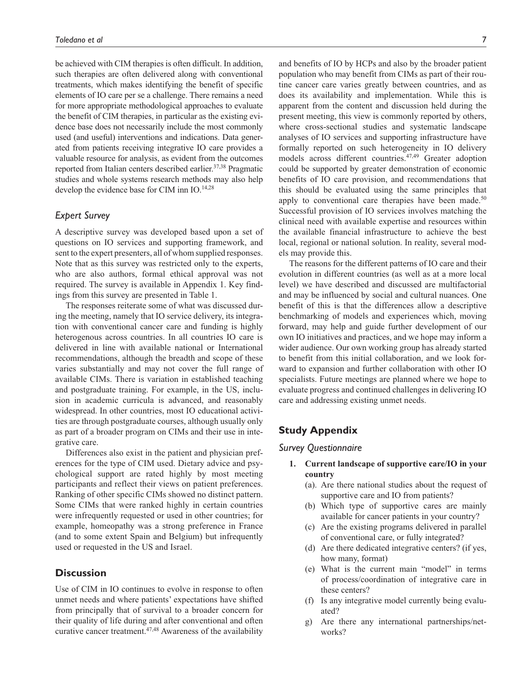be achieved with CIM therapies is often difficult. In addition, such therapies are often delivered along with conventional treatments, which makes identifying the benefit of specific elements of IO care per se a challenge. There remains a need for more appropriate methodological approaches to evaluate the benefit of CIM therapies, in particular as the existing evidence base does not necessarily include the most commonly used (and useful) interventions and indications. Data generated from patients receiving integrative IO care provides a valuable resource for analysis, as evident from the outcomes reported from Italian centers described earlier.<sup>37,38</sup> Pragmatic studies and whole systems research methods may also help develop the evidence base for CIM inn IO.<sup>14,28</sup>

## *Expert Survey*

A descriptive survey was developed based upon a set of questions on IO services and supporting framework, and sent to the expert presenters, all of whom supplied responses. Note that as this survey was restricted only to the experts, who are also authors, formal ethical approval was not required. The survey is available in Appendix 1. Key findings from this survey are presented in Table 1.

The responses reiterate some of what was discussed during the meeting, namely that IO service delivery, its integration with conventional cancer care and funding is highly heterogenous across countries. In all countries IO care is delivered in line with available national or International recommendations, although the breadth and scope of these varies substantially and may not cover the full range of available CIMs. There is variation in established teaching and postgraduate training. For example, in the US, inclusion in academic curricula is advanced, and reasonably widespread. In other countries, most IO educational activities are through postgraduate courses, although usually only as part of a broader program on CIMs and their use in integrative care.

Differences also exist in the patient and physician preferences for the type of CIM used. Dietary advice and psychological support are rated highly by most meeting participants and reflect their views on patient preferences. Ranking of other specific CIMs showed no distinct pattern. Some CIMs that were ranked highly in certain countries were infrequently requested or used in other countries; for example, homeopathy was a strong preference in France (and to some extent Spain and Belgium) but infrequently used or requested in the US and Israel.

# **Discussion**

Use of CIM in IO continues to evolve in response to often unmet needs and where patients' expectations have shifted from principally that of survival to a broader concern for their quality of life during and after conventional and often curative cancer treatment.<sup>47,48</sup> Awareness of the availability

and benefits of IO by HCPs and also by the broader patient population who may benefit from CIMs as part of their routine cancer care varies greatly between countries, and as does its availability and implementation. While this is apparent from the content and discussion held during the present meeting, this view is commonly reported by others, where cross-sectional studies and systematic landscape analyses of IO services and supporting infrastructure have formally reported on such heterogeneity in IO delivery models across different countries.<sup>47,49</sup> Greater adoption could be supported by greater demonstration of economic benefits of IO care provision, and recommendations that this should be evaluated using the same principles that apply to conventional care therapies have been made.<sup>50</sup> Successful provision of IO services involves matching the clinical need with available expertise and resources within the available financial infrastructure to achieve the best local, regional or national solution. In reality, several models may provide this.

The reasons for the different patterns of IO care and their evolution in different countries (as well as at a more local level) we have described and discussed are multifactorial and may be influenced by social and cultural nuances. One benefit of this is that the differences allow a descriptive benchmarking of models and experiences which, moving forward, may help and guide further development of our own IO initiatives and practices, and we hope may inform a wider audience. Our own working group has already started to benefit from this initial collaboration, and we look forward to expansion and further collaboration with other IO specialists. Future meetings are planned where we hope to evaluate progress and continued challenges in delivering IO care and addressing existing unmet needs.

# **Study Appendix**

#### *Survey Questionnaire*

- **1. Current landscape of supportive care/IO in your country**
	- (a). Are there national studies about the request of supportive care and IO from patients?
	- (b) Which type of supportive cares are mainly available for cancer patients in your country?
	- (c) Are the existing programs delivered in parallel of conventional care, or fully integrated?
	- (d) Are there dedicated integrative centers? (if yes, how many, format)
	- (e) What is the current main "model" in terms of process/coordination of integrative care in these centers?
	- (f) Is any integrative model currently being evaluated?
	- g) Are there any international partnerships/networks?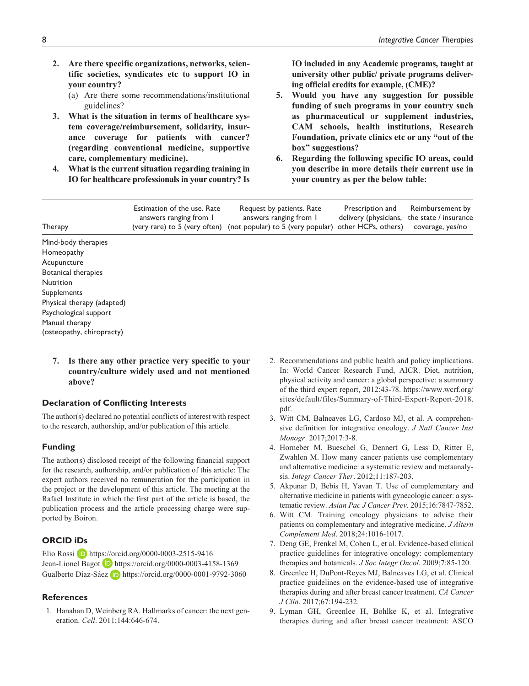- **2. Are there specific organizations, networks, scientific societies, syndicates etc to support IO in your country?**
	- (a) Are there some recommendations/institutional guidelines?
- **3. What is the situation in terms of healthcare system coverage/reimbursement, solidarity, insurance coverage for patients with cancer? (regarding conventional medicine, supportive care, complementary medicine).**
- **4. What is the current situation regarding training in IO for healthcare professionals in your country? Is**

**IO included in any Academic programs, taught at university other public/ private programs delivering official credits for example, (CME)?**

- **5. Would you have any suggestion for possible funding of such programs in your country such as pharmaceutical or supplement industries, CAM schools, health institutions, Research Foundation, private clinics etc or any "out of the box" suggestions?**
- **6. Regarding the following specific IO areas, could you describe in more details their current use in your country as per the below table:**

| Therapy                    | Estimation of the use. Rate<br>answers ranging from 1<br>(very rare) to 5 (very often) | Request by patients. Rate<br>answers ranging from 1<br>(not popular) to 5 (very popular) other HCPs, others) | Prescription and<br>delivery (physicians, | Reimbursement by<br>the state / insurance<br>coverage, yes/no |
|----------------------------|----------------------------------------------------------------------------------------|--------------------------------------------------------------------------------------------------------------|-------------------------------------------|---------------------------------------------------------------|
| Mind-body therapies        |                                                                                        |                                                                                                              |                                           |                                                               |
| Homeopathy                 |                                                                                        |                                                                                                              |                                           |                                                               |
| Acupuncture                |                                                                                        |                                                                                                              |                                           |                                                               |
| <b>Botanical therapies</b> |                                                                                        |                                                                                                              |                                           |                                                               |
| <b>Nutrition</b>           |                                                                                        |                                                                                                              |                                           |                                                               |
| Supplements                |                                                                                        |                                                                                                              |                                           |                                                               |
| Physical therapy (adapted) |                                                                                        |                                                                                                              |                                           |                                                               |
| Psychological support      |                                                                                        |                                                                                                              |                                           |                                                               |
| Manual therapy             |                                                                                        |                                                                                                              |                                           |                                                               |
| (osteopathy, chiropracty)  |                                                                                        |                                                                                                              |                                           |                                                               |

**7. Is there any other practice very specific to your country/culture widely used and not mentioned above?**

#### **Declaration of Conflicting Interests**

The author(s) declared no potential conflicts of interest with respect to the research, authorship, and/or publication of this article.

#### **Funding**

The author(s) disclosed receipt of the following financial support for the research, authorship, and/or publication of this article: The expert authors received no remuneration for the participation in the project or the development of this article. The meeting at the Rafael Institute in which the first part of the article is based, the publication process and the article processing charge were supported by Boiron.

# **ORCID iDs**

Elio Rossi D <https://orcid.org/0000-0003-2515-9416> Jean-Lionel Bagot **D** <https://orcid.org/0000-0003-4158-1369> Gualberto Díaz-Sáez **b** <https://orcid.org/0000-0001-9792-3060>

### **References**

1. Hanahan D, Weinberg RA. Hallmarks of cancer: the next generation. *Cell*. 2011;144:646-674.

- 2. Recommendations and public health and policy implications. In: World Cancer Research Fund, AICR. Diet, nutrition, physical activity and cancer: a global perspective: a summary of the third expert report, 2012:43-78. [https://www.wcrf.org/](https://www.wcrf.org/sites/default/files/Summary-of-Third-Expert-Report-2018.pdf) [sites/default/files/Summary-of-Third-Expert-Report-2018.](https://www.wcrf.org/sites/default/files/Summary-of-Third-Expert-Report-2018.pdf) [pdf](https://www.wcrf.org/sites/default/files/Summary-of-Third-Expert-Report-2018.pdf).
- 3. Witt CM, Balneaves LG, Cardoso MJ, et al. A comprehensive definition for integrative oncology. *J Natl Cancer Inst Monogr*. 2017;2017:3-8.
- 4. Horneber M, Bueschel G, Dennert G, Less D, Ritter E, Zwahlen M. How many cancer patients use complementary and alternative medicine: a systematic review and metaanalysis. *Integr Cancer Ther*. 2012;11:187-203.
- 5. Akpunar D, Bebis H, Yavan T. Use of complementary and alternative medicine in patients with gynecologic cancer: a systematic review. *Asian Pac J Cancer Prev*. 2015;16:7847-7852.
- 6. Witt CM. Training oncology physicians to advise their patients on complementary and integrative medicine. *J Altern Complement Med*. 2018;24:1016-1017.
- 7. Deng GE, Frenkel M, Cohen L, et al. Evidence-based clinical practice guidelines for integrative oncology: complementary therapies and botanicals. *J Soc Integr Oncol*. 2009;7:85-120.
- 8. Greenlee H, DuPont-Reyes MJ, Balneaves LG, et al. Clinical practice guidelines on the evidence-based use of integrative therapies during and after breast cancer treatment. *CA Cancer J Clin*. 2017;67:194-232.
- 9. Lyman GH, Greenlee H, Bohlke K, et al. Integrative therapies during and after breast cancer treatment: ASCO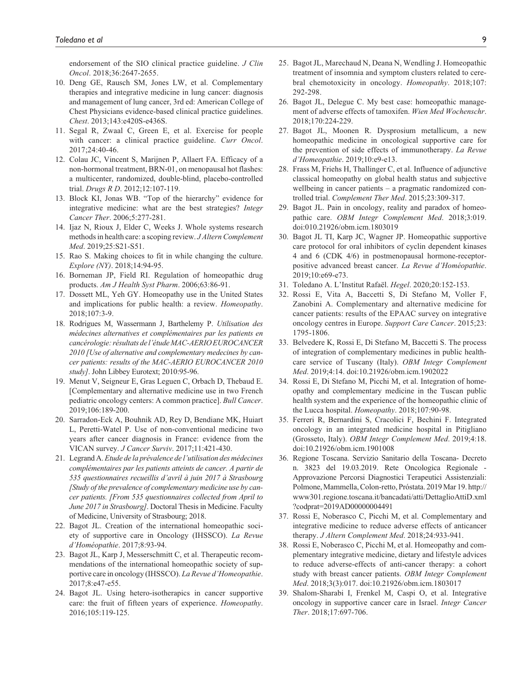endorsement of the SIO clinical practice guideline. *J Clin Oncol*. 2018;36:2647-2655.

- 10. Deng GE, Rausch SM, Jones LW, et al. Complementary therapies and integrative medicine in lung cancer: diagnosis and management of lung cancer, 3rd ed: American College of Chest Physicians evidence-based clinical practice guidelines. *Chest*. 2013;143:e420S-e436S.
- 11. Segal R, Zwaal C, Green E, et al. Exercise for people with cancer: a clinical practice guideline. *Curr Oncol*. 2017;24:40-46.
- 12. Colau JC, Vincent S, Marijnen P, Allaert FA. Efficacy of a non-hormonal treatment, BRN-01, on menopausal hot flashes: a multicenter, randomized, double-blind, placebo-controlled trial. *Drugs R D*. 2012;12:107-119.
- 13. Block KI, Jonas WB. "Top of the hierarchy" evidence for integrative medicine: what are the best strategies? *Integr Cancer Ther*. 2006;5:277-281.
- 14. Ijaz N, Rioux J, Elder C, Weeks J. Whole systems research methods in health care: a scoping review. *J Altern Complement Med*. 2019;25:S21-S51.
- 15. Rao S. Making choices to fit in while changing the culture. *Explore (NY)*. 2018;14:94-95.
- 16. Borneman JP, Field RI. Regulation of homeopathic drug products. *Am J Health Syst Pharm*. 2006;63:86-91.
- 17. Dossett ML, Yeh GY. Homeopathy use in the United States and implications for public health: a review. *Homeopathy*. 2018;107:3-9.
- 18. Rodrigues M, Wassermann J, Barthelemy P. *Utilisation des médecines alternatives et complémentaires par les patients en cancérologie: résultats de l'étude MAC-AERIO EUROCANCER 2010 [Use of alternative and complementary medecines by cancer patients: results of the MAC-AERIO EUROCANCER 2010 study]*. John Libbey Eurotext; 2010:95-96.
- 19. Menut V, Seigneur E, Gras Leguen C, Orbach D, Thebaud E. [Complementary and alternative medicine use in two French pediatric oncology centers: A common practice]. *Bull Cancer*. 2019;106:189-200.
- 20. Sarradon-Eck A, Bouhnik AD, Rey D, Bendiane MK, Huiart L, Peretti-Watel P. Use of non-conventional medicine two years after cancer diagnosis in France: evidence from the VICAN survey. *J Cancer Surviv*. 2017;11:421-430.
- 21. Legrand A. *Etude de la prévalence de l'utilisation des médecines complémentaires par les patients atteints de cancer. A partir de 535 questionnaires recueillis d'avril à juin 2017 à Strasbourg [Study of the prevalence of complementary medicine use by cancer patients. [From 535 questionnaires collected from April to June 2017 in Strasbourg]*. Doctoral Thesis in Medicine. Faculty of Medicine, University of Strasbourg; 2018.
- 22. Bagot JL. Creation of the international homeopathic society of supportive care in Oncology (IHSSCO). *La Revue d'Homéopathie*. 2017;8:93-94.
- 23. Bagot JL, Karp J, Messerschmitt C, et al. Therapeutic recommendations of the international homeopathic society of supportive care in oncology (IHSSCO). *La Revue d'Homeopathie*. 2017;8:e47-e55.
- 24. Bagot JL. Using hetero-isotherapics in cancer supportive care: the fruit of fifteen years of experience. *Homeopathy*. 2016;105:119-125.
- 25. Bagot JL, Marechaud N, Deana N, Wendling J. Homeopathic treatment of insomnia and symptom clusters related to cerebral chemotoxicity in oncology. *Homeopathy*. 2018;107: 292-298.
- 26. Bagot JL, Delegue C. My best case: homeopathic management of adverse effects of tamoxifen. *Wien Med Wochenschr*. 2018;170:224-229.
- 27. Bagot JL, Moonen R. Dysprosium metallicum, a new homeopathic medicine in oncological supportive care for the prevention of side effects of immunotherapy. *La Revue d'Homeopathie*. 2019;10:e9-e13.
- 28. Frass M, Friehs H, Thallinger C, et al. Influence of adjunctive classical homeopathy on global health status and subjective wellbeing in cancer patients – a pragmatic randomized controlled trial. *Complement Ther Med*. 2015;23:309-317.
- 29. Bagot JL. Pain in oncology, reality and paradox of homeopathic care. *OBM Integr Complement Med*. 2018;3:019. doi:010.21926/obm.icm.1803019
- 30. Bagot JL TI, Karp JC, Wagner JP. Homeopathic supportive care protocol for oral inhibitors of cyclin dependent kinases 4 and 6 (CDK 4/6) in postmenopausal hormone-receptorpositive advanced breast cancer. *La Revue d'Homéopathie*. 2019;10:e69-e73.
- 31. Toledano A. L'Institut Rafaël. *Hegel*. 2020;20:152-153.
- 32. Rossi E, Vita A, Baccetti S, Di Stefano M, Voller F, Zanobini A. Complementary and alternative medicine for cancer patients: results of the EPAAC survey on integrative oncology centres in Europe. *Support Care Cancer*. 2015;23: 1795-1806.
- 33. Belvedere K, Rossi E, Di Stefano M, Baccetti S. The process of integration of complementary medicines in public healthcare service of Tuscany (Italy). *OBM Integr Complement Med*. 2019;4:14. doi:10.21926/obm.icm.1902022
- 34. Rossi E, Di Stefano M, Picchi M, et al. Integration of homeopathy and complementary medicine in the Tuscan public health system and the experience of the homeopathic clinic of the Lucca hospital. *Homeopathy*. 2018;107:90-98.
- 35. Ferreri R, Bernardini S, Cracolici F, Bechini F. Integrated oncology in an integrated medicine hospital in Pitigliano (Grosseto, Italy). *OBM Integr Complement Med*. 2019;4:18. doi:10.21926/obm.icm.1901008
- 36. Regione Toscana. Servizio Sanitario della Toscana- Decreto n. 3823 del 19.03.2019. Rete Oncologica Regionale - Approvazione Percorsi Diagnostici Terapeutici Assistenziali: Polmone, Mammella, Colon-retto, Próstata. 2019 Mar 19. [http://](http://www301.regione.toscana.it/bancadati/atti/DettaglioAttiD.xml?codprat=2019AD00000004491) [www301.regione.toscana.it/bancadati/atti/DettaglioAttiD.xml](http://www301.regione.toscana.it/bancadati/atti/DettaglioAttiD.xml?codprat=2019AD00000004491) [?codprat=2019AD00000004491](http://www301.regione.toscana.it/bancadati/atti/DettaglioAttiD.xml?codprat=2019AD00000004491)
- 37. Rossi E, Noberasco C, Picchi M, et al. Complementary and integrative medicine to reduce adverse effects of anticancer therapy. *J Altern Complement Med*. 2018;24:933-941.
- 38. Rossi E, Noberasco C, Picchi M, et al. Homeopathy and complementary integrative medicine, dietary and lifestyle advices to reduce adverse-effects of anti-cancer therapy: a cohort study with breast cancer patients. *OBM Integr Complement Med*. 2018;3(3):017. doi:10.21926/obm.icm.1803017
- 39. Shalom-Sharabi I, Frenkel M, Caspi O, et al. Integrative oncology in supportive cancer care in Israel. *Integr Cancer Ther*. 2018;17:697-706.